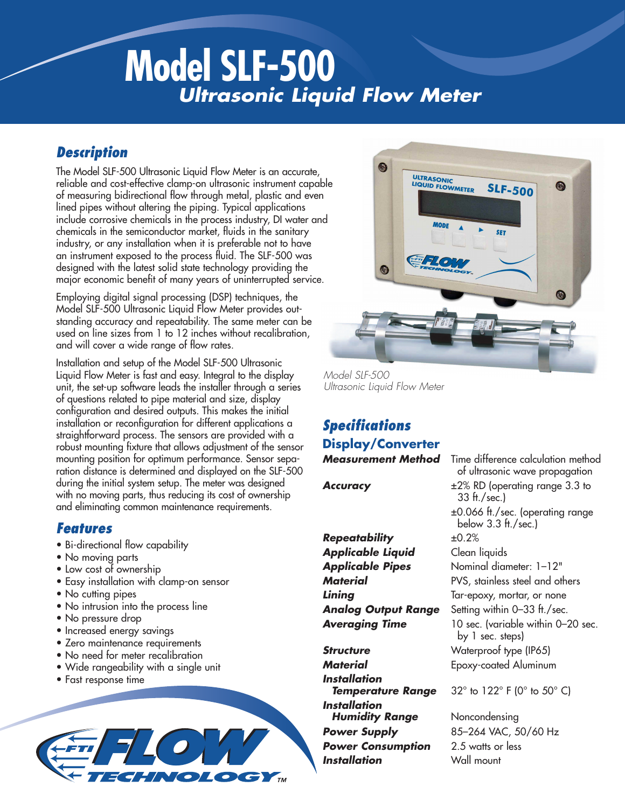# **Model SLF-500** *Ultrasonic Liquid Flow Meter*

### *Description*

The Model SLF-500 Ultrasonic Liquid Flow Meter is an accurate, reliable and cost-effective clamp-on ultrasonic instrument capable of measuring bidirectional flow through metal, plastic and even lined pipes without altering the piping. Typical applications include corrosive chemicals in the process industry, DI water and chemicals in the semiconductor market, fluids in the sanitary industry, or any installation when it is preferable not to have an instrument exposed to the process fluid. The SLF-500 was designed with the latest solid state technology providing the major economic benefit of many years of uninterrupted service.

Employing digital signal processing (DSP) techniques, the Model SLF-500 Ultrasonic Liquid Flow Meter provides outstanding accuracy and repeatability. The same meter can be used on line sizes from 1 to 12 inches without recalibration, and will cover a wide range of flow rates.

Installation and setup of the Model SLF-500 Ultrasonic Liquid Flow Meter is fast and easy. Integral to the display unit, the set-up software leads the installer through a series of questions related to pipe material and size, display configuration and desired outputs. This makes the initial installation or reconfiguration for different applications a straightforward process. The sensors are provided with a robust mounting fixture that allows adjustment of the sensor mounting position for optimum performance. Sensor separation distance is determined and displayed on the SLF-500 during the initial system setup. The meter was designed with no moving parts, thus reducing its cost of ownership and eliminating common maintenance requirements.

### *Features*

- Bi-directional flow capability
- No moving parts
- Low cost of ownership
- Easy installation with clamp-on sensor
- No cutting pipes
- No intrusion into the process line
- No pressure drop
- Increased energy savings
- Zero maintenance requirements
- No need for meter recalibration
- Wide rangeability with a single unit
- Fast response time





*Model SLF-500 Ultrasonic Liquid Flow Meter*

## *Specifications* **Display/Converter**

*Repeatability* ±0.2% *Applicable Liquid* Clean liquids *Applicable Pipes* Nominal diameter: 1–12"

**Structure** Waterproof type (IP65) *Material* Epoxy-coated Aluminum *Installation Installation*  **Humidity Range** Noncondensing **Power Supply** 85–264 VAC, 50/60 Hz **Power Consumption** 2.5 watts or less *Installation* Wall mount

*Measurement Method* Time difference calculation method of ultrasonic wave propagation **Accuracy**  $\pm 2\%$  RD (operating range 3.3 to 33 ft./sec.) ±0.066 ft./sec. (operating range below 3.3 ft./sec.) **Material** PVS, stainless steel and others **Lining** Tar-epoxy, mortar, or none *Analog Output Range* Setting within 0–33 ft./sec. *Averaging Time* 10 sec. (variable within 0–20 sec. by 1 sec. steps)

**Temperature Range** 32° to 122° F (0° to 50° C)